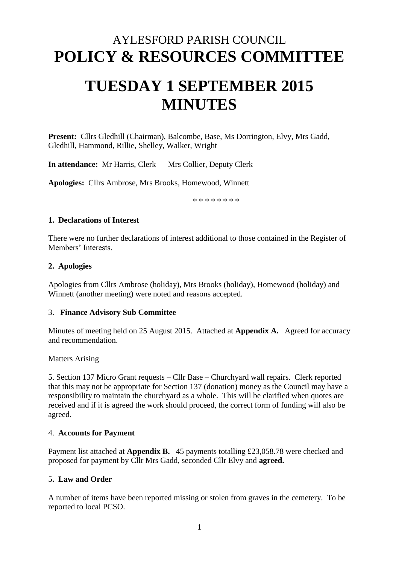# AYLESFORD PARISH COUNCIL **POLICY & RESOURCES COMMITTEE**

# **TUESDAY 1 SEPTEMBER 2015 MINUTES**

**Present:** Cllrs Gledhill (Chairman), Balcombe, Base, Ms Dorrington, Elvy, Mrs Gadd, Gledhill, Hammond, Rillie, Shelley, Walker, Wright

**In attendance:** Mr Harris, Clerk Mrs Collier, Deputy Clerk

**Apologies:** Cllrs Ambrose, Mrs Brooks, Homewood, Winnett

\* \* \* \* \* \* \* \*

# **1. Declarations of Interest**

There were no further declarations of interest additional to those contained in the Register of Members' Interests.

#### **2. Apologies**

Apologies from Cllrs Ambrose (holiday), Mrs Brooks (holiday), Homewood (holiday) and Winnett (another meeting) were noted and reasons accepted.

#### 3. **Finance Advisory Sub Committee**

Minutes of meeting held on 25 August 2015. Attached at **Appendix A.** Agreed for accuracy and recommendation.

Matters Arising

5. Section 137 Micro Grant requests – Cllr Base – Churchyard wall repairs. Clerk reported that this may not be appropriate for Section 137 (donation) money as the Council may have a responsibility to maintain the churchyard as a whole. This will be clarified when quotes are received and if it is agreed the work should proceed, the correct form of funding will also be agreed.

# 4. **Accounts for Payment**

Payment list attached at **Appendix B.** 45 payments totalling £23,058.78 were checked and proposed for payment by Cllr Mrs Gadd, seconded Cllr Elvy and **agreed.**

# 5**. Law and Order**

A number of items have been reported missing or stolen from graves in the cemetery. To be reported to local PCSO.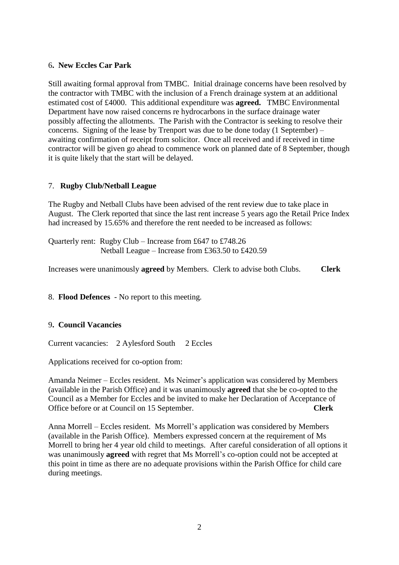#### 6**. New Eccles Car Park**

Still awaiting formal approval from TMBC. Initial drainage concerns have been resolved by the contractor with TMBC with the inclusion of a French drainage system at an additional estimated cost of £4000. This additional expenditure was **agreed.** TMBC Environmental Department have now raised concerns re hydrocarbons in the surface drainage water possibly affecting the allotments. The Parish with the Contractor is seeking to resolve their concerns. Signing of the lease by Trenport was due to be done today (1 September) – awaiting confirmation of receipt from solicitor. Once all received and if received in time contractor will be given go ahead to commence work on planned date of 8 September, though it is quite likely that the start will be delayed.

#### 7. **Rugby Club/Netball League**

The Rugby and Netball Clubs have been advised of the rent review due to take place in August. The Clerk reported that since the last rent increase 5 years ago the Retail Price Index had increased by 15.65% and therefore the rent needed to be increased as follows:

Quarterly rent: Rugby Club – Increase from £647 to £748.26 Netball League – Increase from £363.50 to £420.59

Increases were unanimously **agreed** by Members. Clerk to advise both Clubs. **Clerk**

# 8. **Flood Defences** - No report to this meeting.

#### 9**. Council Vacancies**

Current vacancies: 2 Aylesford South 2 Eccles

Applications received for co-option from:

Amanda Neimer – Eccles resident. Ms Neimer's application was considered by Members (available in the Parish Office) and it was unanimously **agreed** that she be co-opted to the Council as a Member for Eccles and be invited to make her Declaration of Acceptance of<br>Office before or at Council on 15 Sentember Office before or at Council on 15 September.

Anna Morrell – Eccles resident. Ms Morrell's application was considered by Members (available in the Parish Office). Members expressed concern at the requirement of Ms Morrell to bring her 4 year old child to meetings. After careful consideration of all options it was unanimously **agreed** with regret that Ms Morrell's co-option could not be accepted at this point in time as there are no adequate provisions within the Parish Office for child care during meetings.